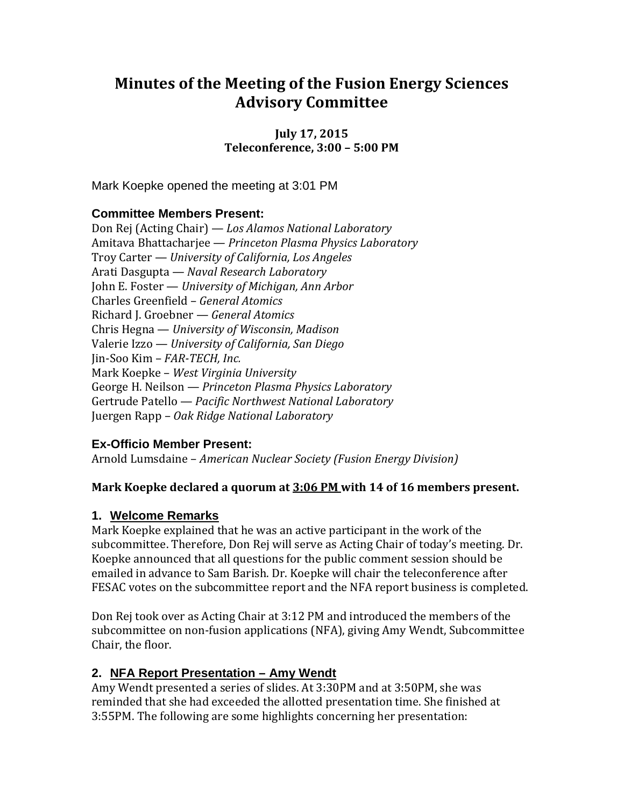# **Minutes of the Meeting of the Fusion Energy Sciences Advisory Committee**

**July 17, 2015 Teleconference, 3:00 – 5:00 PM**

Mark Koepke opened the meeting at 3:01 PM

# **Committee Members Present:**

Don Rej (Acting Chair) — *Los Alamos National Laboratory* Amitava Bhattacharjee — *Princeton Plasma Physics Laboratory*  Troy Carter — *University of California, Los Angeles* Arati Dasgupta *— Naval Research Laboratory* John E. Foster — *University of Michigan, Ann Arbor* Charles Greenfield – *General Atomics* Richard J. Groebner — *General Atomics* Chris Hegna — *University of Wisconsin, Madison* Valerie Izzo — *University of California, San Diego* Jin-Soo Kim – *FAR-TECH, Inc.* Mark Koepke – *West Virginia University* George H. Neilson — *Princeton Plasma Physics Laboratory* Gertrude Patello — *Pacific Northwest National Laboratory* Juergen Rapp – *Oak Ridge National Laboratory*

# **Ex-Officio Member Present:**

Arnold Lumsdaine – *American Nuclear Society (Fusion Energy Division)*

# **Mark Koepke declared a quorum at 3:06 PM with 14 of 16 members present.**

# **1. Welcome Remarks**

Mark Koepke explained that he was an active participant in the work of the subcommittee. Therefore, Don Rej will serve as Acting Chair of today's meeting. Dr. Koepke announced that all questions for the public comment session should be emailed in advance to Sam Barish. Dr. Koepke will chair the teleconference after FESAC votes on the subcommittee report and the NFA report business is completed.

Don Rej took over as Acting Chair at 3:12 PM and introduced the members of the subcommittee on non-fusion applications (NFA), giving Amy Wendt, Subcommittee Chair, the floor.

# **2. NFA Report Presentation – Amy Wendt**

Amy Wendt presented a series of slides. At 3:30PM and at 3:50PM, she was reminded that she had exceeded the allotted presentation time. She finished at 3:55PM. The following are some highlights concerning her presentation: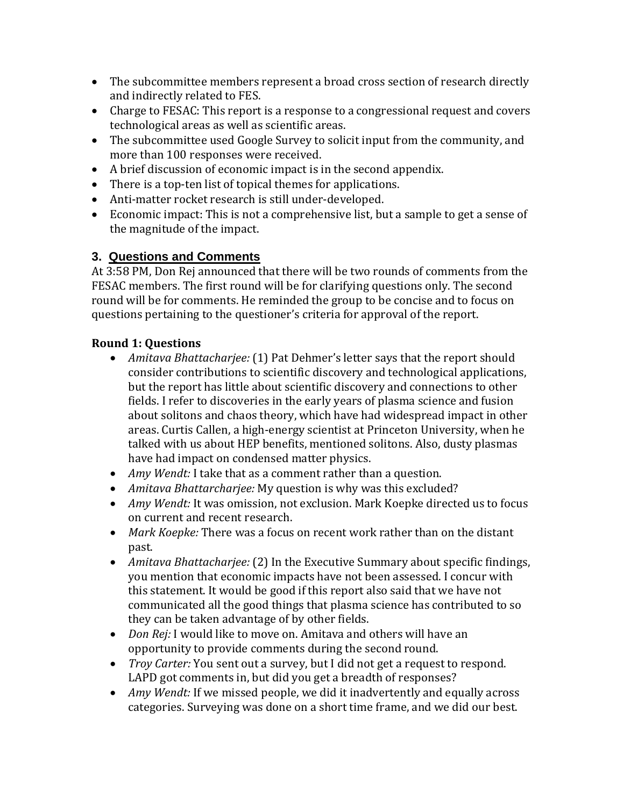- The subcommittee members represent a broad cross section of research directly and indirectly related to FES.
- Charge to FESAC: This report is a response to a congressional request and covers technological areas as well as scientific areas.
- The subcommittee used Google Survey to solicit input from the community, and more than 100 responses were received.
- A brief discussion of economic impact is in the second appendix.
- There is a top-ten list of topical themes for applications.
- Anti-matter rocket research is still under-developed.
- Economic impact: This is not a comprehensive list, but a sample to get a sense of the magnitude of the impact.

# **3. Questions and Comments**

At 3:58 PM, Don Rej announced that there will be two rounds of comments from the FESAC members. The first round will be for clarifying questions only. The second round will be for comments. He reminded the group to be concise and to focus on questions pertaining to the questioner's criteria for approval of the report.

# **Round 1: Questions**

- *Amitava Bhattacharjee:* (1) Pat Dehmer's letter says that the report should consider contributions to scientific discovery and technological applications, but the report has little about scientific discovery and connections to other fields. I refer to discoveries in the early years of plasma science and fusion about solitons and chaos theory, which have had widespread impact in other areas. Curtis Callen, a high-energy scientist at Princeton University, when he talked with us about HEP benefits, mentioned solitons. Also, dusty plasmas have had impact on condensed matter physics.
- *Amy Wendt:* I take that as a comment rather than a question.
- *Amitava Bhattarcharjee:* My question is why was this excluded?
- *Amy Wendt:* It was omission, not exclusion. Mark Koepke directed us to focus on current and recent research.
- *Mark Koepke:* There was a focus on recent work rather than on the distant past.
- *Amitava Bhattacharjee:* (2) In the Executive Summary about specific findings, you mention that economic impacts have not been assessed. I concur with this statement. It would be good if this report also said that we have not communicated all the good things that plasma science has contributed to so they can be taken advantage of by other fields.
- *Don Rej:* I would like to move on. Amitava and others will have an opportunity to provide comments during the second round.
- *Troy Carter:* You sent out a survey, but I did not get a request to respond. LAPD got comments in, but did you get a breadth of responses?
- *Amy Wendt:* If we missed people, we did it inadvertently and equally across categories. Surveying was done on a short time frame, and we did our best.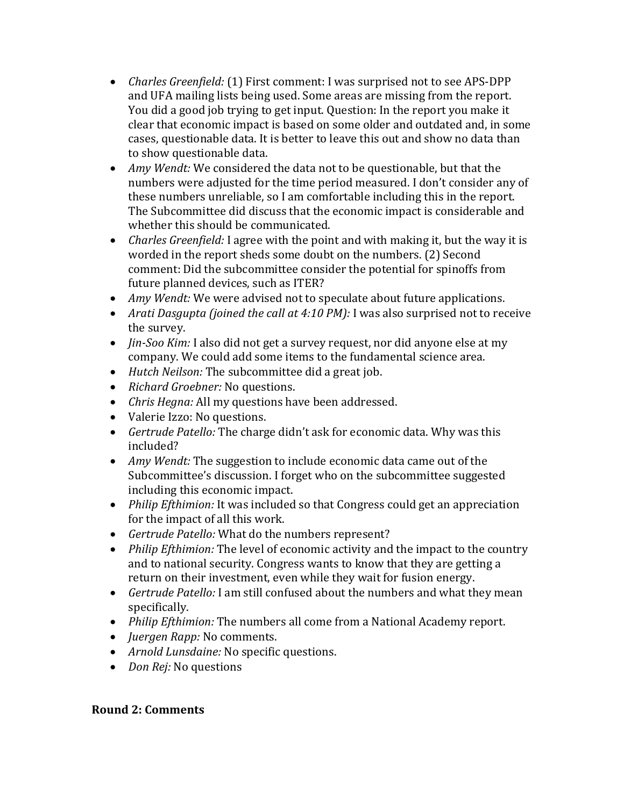- *Charles Greenfield:* (1) First comment: I was surprised not to see APS-DPP and UFA mailing lists being used. Some areas are missing from the report. You did a good job trying to get input. Question: In the report you make it clear that economic impact is based on some older and outdated and, in some cases, questionable data. It is better to leave this out and show no data than to show questionable data.
- *Amy Wendt:* We considered the data not to be questionable, but that the numbers were adjusted for the time period measured. I don't consider any of these numbers unreliable, so I am comfortable including this in the report. The Subcommittee did discuss that the economic impact is considerable and whether this should be communicated.
- *Charles Greenfield:* I agree with the point and with making it, but the way it is worded in the report sheds some doubt on the numbers. (2) Second comment: Did the subcommittee consider the potential for spinoffs from future planned devices, such as ITER?
- *Amy Wendt:* We were advised not to speculate about future applications.
- *Arati Dasgupta (joined the call at 4:10 PM):* I was also surprised not to receive the survey.
- *Jin-Soo Kim:* I also did not get a survey request, nor did anyone else at my company. We could add some items to the fundamental science area.
- *Hutch Neilson:* The subcommittee did a great job.
- *Richard Groebner:* No questions.
- *Chris Hegna:* All my questions have been addressed.
- Valerie Izzo: No questions.
- *Gertrude Patello:* The charge didn't ask for economic data. Why was this included?
- *Amy Wendt:* The suggestion to include economic data came out of the Subcommittee's discussion. I forget who on the subcommittee suggested including this economic impact.
- *Philip Efthimion:* It was included so that Congress could get an appreciation for the impact of all this work.
- *Gertrude Patello:* What do the numbers represent?
- *Philip Efthimion:* The level of economic activity and the impact to the country and to national security. Congress wants to know that they are getting a return on their investment, even while they wait for fusion energy.
- *Gertrude Patello:* I am still confused about the numbers and what they mean specifically.
- *Philip Efthimion:* The numbers all come from a National Academy report.
- *Juergen Rapp:* No comments.
- *Arnold Lunsdaine:* No specific questions.
- *Don Rej:* No questions

# **Round 2: Comments**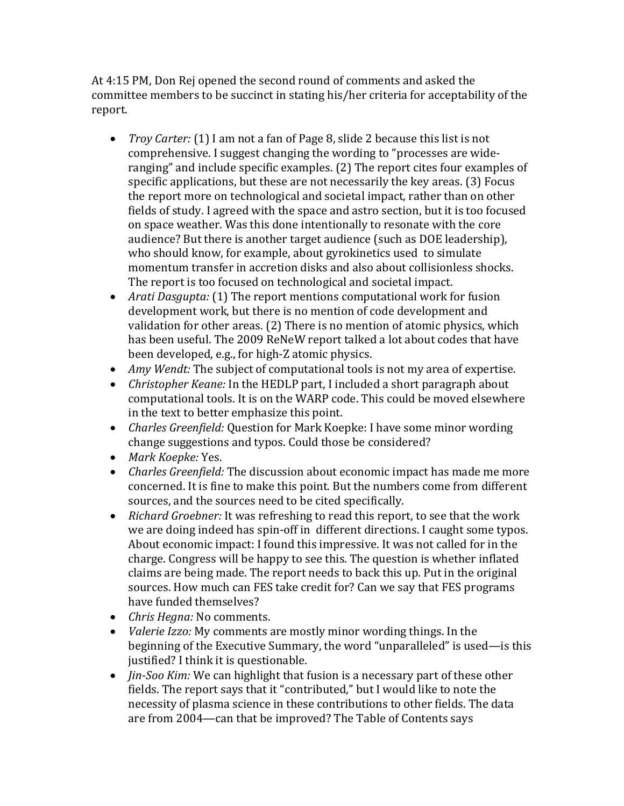At 4:15 PM, Don Rej opened the second round of comments and asked the committee members to be succinct in stating his/her criteria for acceptability of the report.

- *Troy Carter:* (1) I am not a fan of Page 8, slide 2 because this list is not comprehensive. I suggest changing the wording to "processes are wideranging" and include specific examples. (2) The report cites four examples of specific applications, but these are not necessarily the key areas. (3) Focus the report more on technological and societal impact, rather than on other fields of study. I agreed with the space and astro section, but it is too focused on space weather. Was this done intentionally to resonate with the core audience? But there is another target audience (such as DOE leadership), who should know, for example, about gyrokinetics used to simulate momentum transfer in accretion disks and also about collisionless shocks. The report is too focused on technological and societal impact.
- *Arati Dasgupta:* (1) The report mentions computational work for fusion development work, but there is no mention of code development and validation for other areas. (2) There is no mention of atomic physics, which has been useful. The 2009 ReNeW report talked a lot about codes that have been developed, e.g., for high-Z atomic physics.
- *Amy Wendt:* The subject of computational tools is not my area of expertise.
- *Christopher Keane:* In the HEDLP part, I included a short paragraph about computational tools. It is on the WARP code. This could be moved elsewhere in the text to better emphasize this point.
- *Charles Greenfield:* Question for Mark Koepke: I have some minor wording change suggestions and typos. Could those be considered?
- *Mark Koepke:* Yes.
- *Charles Greenfield:* The discussion about economic impact has made me more concerned. It is fine to make this point. But the numbers come from different sources, and the sources need to be cited specifically.
- *Richard Groebner:* It was refreshing to read this report, to see that the work we are doing indeed has spin-off in different directions. I caught some typos. About economic impact: I found this impressive. It was not called for in the charge. Congress will be happy to see this. The question is whether inflated claims are being made. The report needs to back this up. Put in the original sources. How much can FES take credit for? Can we say that FES programs have funded themselves?
- *Chris Hegna:* No comments.
- *Valerie Izzo:* My comments are mostly minor wording things. In the beginning of the Executive Summary, the word "unparalleled" is used—is this justified? I think it is questionable.
- *Jin-Soo Kim:* We can highlight that fusion is a necessary part of these other fields. The report says that it "contributed," but I would like to note the necessity of plasma science in these contributions to other fields. The data are from 2004—can that be improved? The Table of Contents says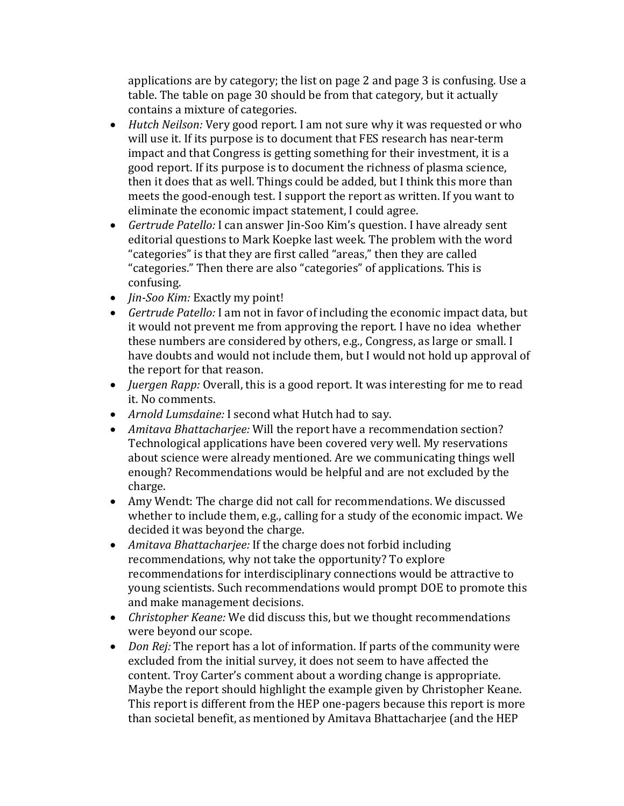applications are by category; the list on page 2 and page 3 is confusing. Use a table. The table on page 30 should be from that category, but it actually contains a mixture of categories.

- *Hutch Neilson:* Very good report. I am not sure why it was requested or who will use it. If its purpose is to document that FES research has near-term impact and that Congress is getting something for their investment, it is a good report. If its purpose is to document the richness of plasma science, then it does that as well. Things could be added, but I think this more than meets the good-enough test. I support the report as written. If you want to eliminate the economic impact statement, I could agree.
- *Gertrude Patello:* I can answer Jin-Soo Kim's question. I have already sent editorial questions to Mark Koepke last week. The problem with the word "categories" is that they are first called "areas," then they are called "categories." Then there are also "categories" of applications. This is confusing.
- *Jin-Soo Kim:* Exactly my point!
- *Gertrude Patello:* I am not in favor of including the economic impact data, but it would not prevent me from approving the report. I have no idea whether these numbers are considered by others, e.g., Congress, as large or small. I have doubts and would not include them, but I would not hold up approval of the report for that reason.
- *Juergen Rapp:* Overall, this is a good report. It was interesting for me to read it. No comments.
- *Arnold Lumsdaine:* I second what Hutch had to say.
- *Amitava Bhattacharjee:* Will the report have a recommendation section? Technological applications have been covered very well. My reservations about science were already mentioned. Are we communicating things well enough? Recommendations would be helpful and are not excluded by the charge.
- Amy Wendt: The charge did not call for recommendations. We discussed whether to include them, e.g., calling for a study of the economic impact. We decided it was beyond the charge.
- *Amitava Bhattacharjee:* If the charge does not forbid including recommendations, why not take the opportunity? To explore recommendations for interdisciplinary connections would be attractive to young scientists. Such recommendations would prompt DOE to promote this and make management decisions.
- *Christopher Keane:* We did discuss this, but we thought recommendations were beyond our scope.
- *Don Rej:* The report has a lot of information. If parts of the community were excluded from the initial survey, it does not seem to have affected the content. Troy Carter's comment about a wording change is appropriate. Maybe the report should highlight the example given by Christopher Keane. This report is different from the HEP one-pagers because this report is more than societal benefit, as mentioned by Amitava Bhattacharjee (and the HEP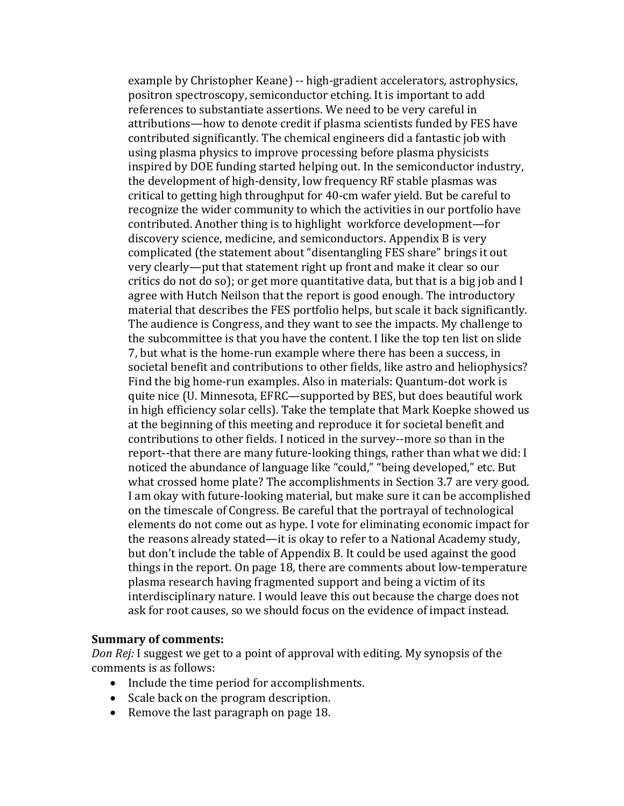example by Christopher Keane) -- high-gradient accelerators, astrophysics, positron spectroscopy, semiconductor etching. It is important to add references to substantiate assertions. We need to be very careful in attributions—how to denote credit if plasma scientists funded by FES have contributed significantly. The chemical engineers did a fantastic job with using plasma physics to improve processing before plasma physicists inspired by DOE funding started helping out. In the semiconductor industry, the development of high-density, low frequency RF stable plasmas was critical to getting high throughput for 40-cm wafer yield. But be careful to recognize the wider community to which the activities in our portfolio have contributed. Another thing is to highlight workforce development—for discovery science, medicine, and semiconductors. Appendix B is very complicated (the statement about "disentangling FES share" brings it out very clearly—put that statement right up front and make it clear so our critics do not do so); or get more quantitative data, but that is a big job and I agree with Hutch Neilson that the report is good enough. The introductory material that describes the FES portfolio helps, but scale it back significantly. The audience is Congress, and they want to see the impacts. My challenge to the subcommittee is that you have the content. I like the top ten list on slide 7, but what is the home-run example where there has been a success, in societal benefit and contributions to other fields, like astro and heliophysics? Find the big home-run examples. Also in materials: Quantum-dot work is quite nice (U. Minnesota, EFRC—supported by BES, but does beautiful work in high efficiency solar cells). Take the template that Mark Koepke showed us at the beginning of this meeting and reproduce it for societal benefit and contributions to other fields. I noticed in the survey--more so than in the report--that there are many future-looking things, rather than what we did: I noticed the abundance of language like "could," "being developed," etc. But what crossed home plate? The accomplishments in Section 3.7 are very good. I am okay with future-looking material, but make sure it can be accomplished on the timescale of Congress. Be careful that the portrayal of technological elements do not come out as hype. I vote for eliminating economic impact for the reasons already stated—it is okay to refer to a National Academy study, but don't include the table of Appendix B. It could be used against the good things in the report. On page 18, there are comments about low-temperature plasma research having fragmented support and being a victim of its interdisciplinary nature. I would leave this out because the charge does not ask for root causes, so we should focus on the evidence of impact instead.

#### **Summary of comments:**

*Don Rej:* I suggest we get to a point of approval with editing. My synopsis of the comments is as follows:

- Include the time period for accomplishments.
- Scale back on the program description.
- Remove the last paragraph on page 18.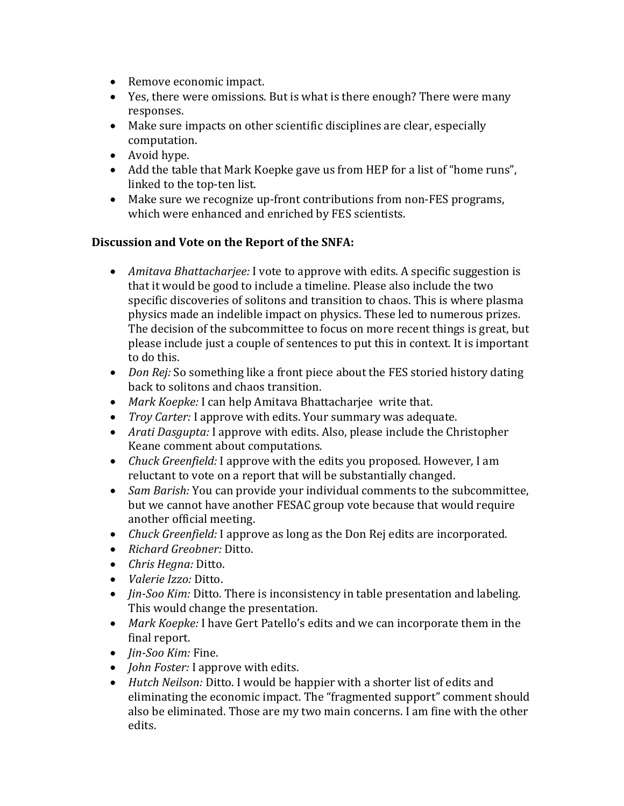- Remove economic impact.
- Yes, there were omissions. But is what is there enough? There were many responses.
- Make sure impacts on other scientific disciplines are clear, especially computation.
- Avoid hype.
- Add the table that Mark Koepke gave us from HEP for a list of "home runs", linked to the top-ten list.
- Make sure we recognize up-front contributions from non-FES programs, which were enhanced and enriched by FES scientists.

#### **Discussion and Vote on the Report of the SNFA:**

- *Amitava Bhattacharjee:* I vote to approve with edits. A specific suggestion is that it would be good to include a timeline. Please also include the two specific discoveries of solitons and transition to chaos. This is where plasma physics made an indelible impact on physics. These led to numerous prizes. The decision of the subcommittee to focus on more recent things is great, but please include just a couple of sentences to put this in context. It is important to do this.
- *Don Rej:* So something like a front piece about the FES storied history dating back to solitons and chaos transition.
- *Mark Koepke:* I can help Amitava Bhattacharjee write that.
- *Troy Carter:* I approve with edits. Your summary was adequate.
- *Arati Dasgupta:* I approve with edits. Also, please include the Christopher Keane comment about computations.
- *Chuck Greenfield:* I approve with the edits you proposed. However, I am reluctant to vote on a report that will be substantially changed.
- *Sam Barish:* You can provide your individual comments to the subcommittee, but we cannot have another FESAC group vote because that would require another official meeting.
- *Chuck Greenfield:* I approve as long as the Don Rej edits are incorporated.
- *Richard Greobner:* Ditto.
- *Chris Hegna:* Ditto.
- *Valerie Izzo:* Ditto.
- *Jin-Soo Kim:* Ditto. There is inconsistency in table presentation and labeling. This would change the presentation.
- *Mark Koepke:* I have Gert Patello's edits and we can incorporate them in the final report.
- *Jin-Soo Kim:* Fine.
- *John Foster:* I approve with edits.
- *Hutch Neilson:* Ditto. I would be happier with a shorter list of edits and eliminating the economic impact. The "fragmented support" comment should also be eliminated. Those are my two main concerns. I am fine with the other edits.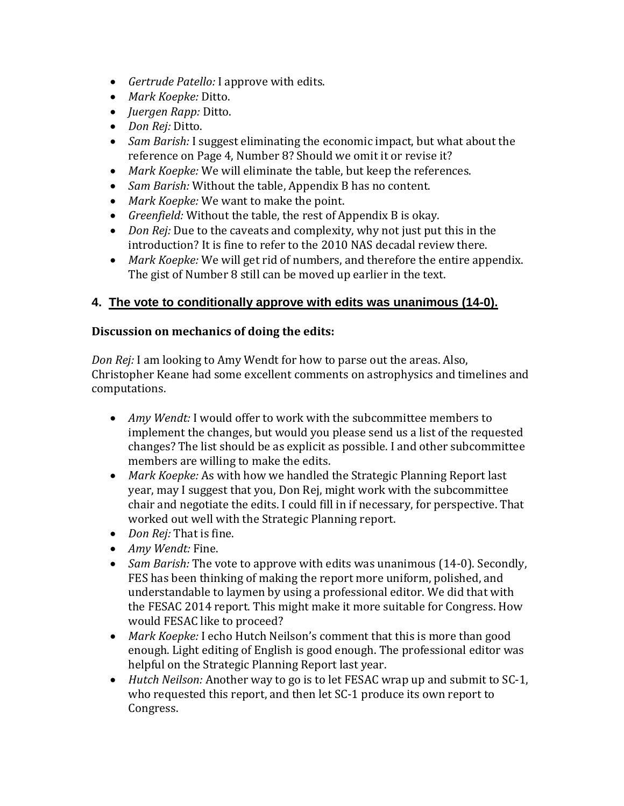- *Gertrude Patello:* I approve with edits.
- *Mark Koepke:* Ditto.
- *Juergen Rapp:* Ditto.
- *Don Rej:* Ditto.
- *Sam Barish:* I suggest eliminating the economic impact, but what about the reference on Page 4, Number 8? Should we omit it or revise it?
- *Mark Koepke:* We will eliminate the table, but keep the references.
- *Sam Barish:* Without the table, Appendix B has no content.
- *Mark Koepke:* We want to make the point.
- *Greenfield:* Without the table, the rest of Appendix B is okay.
- *Don Rej:* Due to the caveats and complexity, why not just put this in the introduction? It is fine to refer to the 2010 NAS decadal review there.
- *Mark Koepke:* We will get rid of numbers, and therefore the entire appendix. The gist of Number 8 still can be moved up earlier in the text.

# **4. The vote to conditionally approve with edits was unanimous (14-0).**

# **Discussion on mechanics of doing the edits:**

*Don Rej:* I am looking to Amy Wendt for how to parse out the areas. Also, Christopher Keane had some excellent comments on astrophysics and timelines and computations.

- *Amy Wendt:* I would offer to work with the subcommittee members to implement the changes, but would you please send us a list of the requested changes? The list should be as explicit as possible. I and other subcommittee members are willing to make the edits.
- *Mark Koepke:* As with how we handled the Strategic Planning Report last year, may I suggest that you, Don Rej, might work with the subcommittee chair and negotiate the edits. I could fill in if necessary, for perspective. That worked out well with the Strategic Planning report.
- *Don Rej:* That is fine.
- *Amy Wendt:* Fine.
- *Sam Barish:* The vote to approve with edits was unanimous (14-0). Secondly, FES has been thinking of making the report more uniform, polished, and understandable to laymen by using a professional editor. We did that with the FESAC 2014 report. This might make it more suitable for Congress. How would FESAC like to proceed?
- *Mark Koepke:* I echo Hutch Neilson's comment that this is more than good enough. Light editing of English is good enough. The professional editor was helpful on the Strategic Planning Report last year.
- *Hutch Neilson:* Another way to go is to let FESAC wrap up and submit to SC-1, who requested this report, and then let SC-1 produce its own report to Congress.